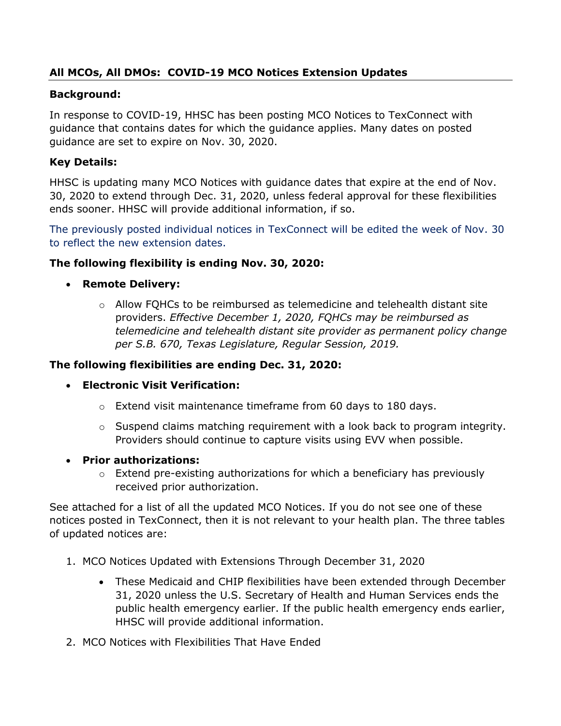# **All MCOs, All DMOs: COVID-19 MCO Notices Extension Updates**

#### **Background:**

In response to COVID-19, HHSC has been posting MCO Notices to TexConnect with guidance that contains dates for which the guidance applies. Many dates on posted guidance are set to expire on Nov. 30, 2020.

#### **Key Details:**

HHSC is updating many MCO Notices with guidance dates that expire at the end of Nov. 30, 2020 to extend through Dec. 31, 2020, unless federal approval for these flexibilities ends sooner. HHSC will provide additional information, if so.

The previously posted individual notices in TexConnect will be edited the week of Nov. 30 to reflect the new extension dates.

#### **The following flexibility is ending Nov. 30, 2020:**

- **Remote Delivery:** 
	- o Allow FQHCs to be reimbursed as telemedicine and telehealth distant site providers. *Effective December 1, 2020, FQHCs may be reimbursed as telemedicine and telehealth distant site provider as permanent policy change per S.B. 670, Texas Legislature, Regular Session, 2019.*

#### **The following flexibilities are ending Dec. 31, 2020:**

- **Electronic Visit Verification:** 
	- $\circ$  Extend visit maintenance timeframe from 60 days to 180 days.
	- $\circ$  Suspend claims matching requirement with a look back to program integrity. Providers should continue to capture visits using EVV when possible.
- **Prior authorizations:**
	- o Extend pre-existing authorizations for which a beneficiary has previously received prior authorization.

See attached for a list of all the updated MCO Notices. If you do not see one of these notices posted in TexConnect, then it is not relevant to your health plan. The three tables of updated notices are:

- 1. MCO Notices Updated with Extensions Through December 31, 2020
	- These Medicaid and CHIP flexibilities have been extended through December 31, 2020 unless the U.S. Secretary of Health and Human Services ends the public health emergency earlier. If the public health emergency ends earlier, HHSC will provide additional information.
- 2. MCO Notices with Flexibilities That Have Ended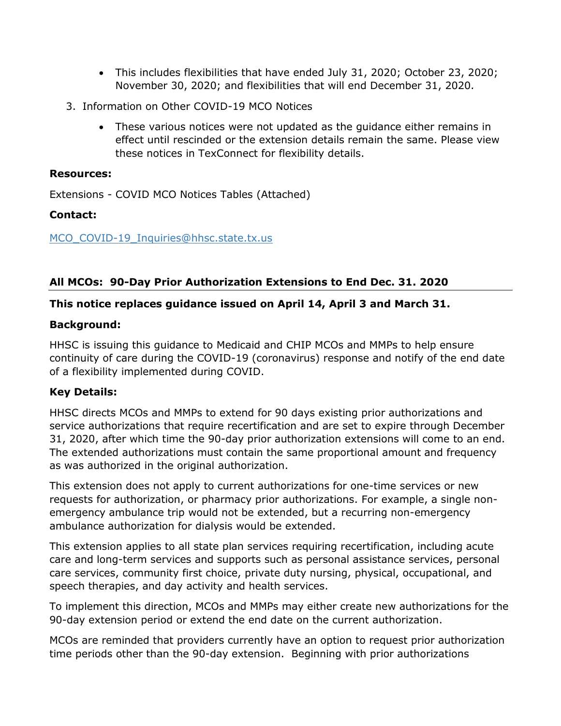- This includes flexibilities that have ended July 31, 2020; October 23, 2020; November 30, 2020; and flexibilities that will end December 31, 2020.
- 3. Information on Other COVID-19 MCO Notices
	- These various notices were not updated as the guidance either remains in effect until rescinded or the extension details remain the same. Please view these notices in TexConnect for flexibility details.

#### **Resources:**

Extensions - COVID MCO Notices Tables (Attached)

# **Contact:**

MCO COVID-19 Inquiries@hhsc.state.tx.us

# **All MCOs: 90-Day Prior Authorization Extensions to End Dec. 31. 2020**

#### **This notice replaces guidance issued on April 14, April 3 and March 31.**

#### **Background:**

HHSC is issuing this guidance to Medicaid and CHIP MCOs and MMPs to help ensure continuity of care during the COVID-19 (coronavirus) response and notify of the end date of a flexibility implemented during COVID.

# **Key Details:**

HHSC directs MCOs and MMPs to extend for 90 days existing prior authorizations and service authorizations that require recertification and are set to expire through December 31, 2020, after which time the 90-day prior authorization extensions will come to an end. The extended authorizations must contain the same proportional amount and frequency as was authorized in the original authorization.

This extension does not apply to current authorizations for one-time services or new requests for authorization, or pharmacy prior authorizations. For example, a single nonemergency ambulance trip would not be extended, but a recurring non-emergency ambulance authorization for dialysis would be extended.

This extension applies to all state plan services requiring recertification, including acute care and long-term services and supports such as personal assistance services, personal care services, community first choice, private duty nursing, physical, occupational, and speech therapies, and day activity and health services.

To implement this direction, MCOs and MMPs may either create new authorizations for the 90-day extension period or extend the end date on the current authorization.

MCOs are reminded that providers currently have an option to request prior authorization time periods other than the 90-day extension. Beginning with prior authorizations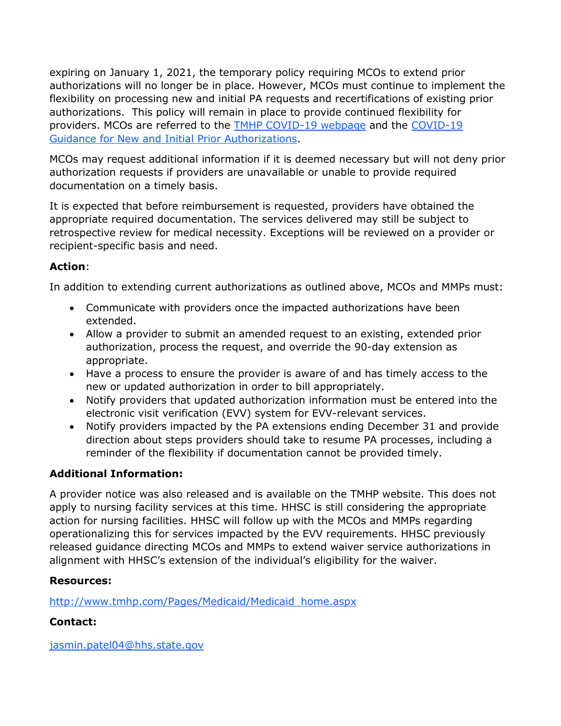expiring on January 1, 2021, the temporary policy requiring MCOs to extend prior authorizations will no longer be in place. However, MCOs must continue to implement the flexibility on processing new and initial PA requests and recertifications of existing prior authorizations. This policy will remain in place to provide continued flexibility for providers. MCOs are referred to the TMHP COVID-19 webpage and the COVID-19 Guidance for New and Initial Prior Authorizations.

MCOs may request additional information if it is deemed necessary but will not deny prior authorization requests if providers are unavailable or unable to provide required documentation on a timely basis.

It is expected that before reimbursement is requested, providers have obtained the appropriate required documentation. The services delivered may still be subject to retrospective review for medical necessity. Exceptions will be reviewed on a provider or recipient-specific basis and need.

# **Action**:

In addition to extending current authorizations as outlined above, MCOs and MMPs must:

- Communicate with providers once the impacted authorizations have been extended.
- Allow a provider to submit an amended request to an existing, extended prior authorization, process the request, and override the 90-day extension as appropriate.
- Have a process to ensure the provider is aware of and has timely access to the new or updated authorization in order to bill appropriately.
- Notify providers that updated authorization information must be entered into the electronic visit verification (EVV) system for EVV-relevant services.
- Notify providers impacted by the PA extensions ending December 31 and provide direction about steps providers should take to resume PA processes, including a reminder of the flexibility if documentation cannot be provided timely.

# **Additional Information:**

A provider notice was also released and is available on the TMHP website. This does not apply to nursing facility services at this time. HHSC is still considering the appropriate action for nursing facilities. HHSC will follow up with the MCOs and MMPs regarding operationalizing this for services impacted by the EVV requirements. HHSC previously released guidance directing MCOs and MMPs to extend waiver service authorizations in alignment with HHSC's extension of the individual's eligibility for the waiver.

# **Resources:**

http://www.tmhp.com/Pages/Medicaid/Medicaid\_home.aspx

# **Contact:**

jasmin.patel04@hhs.state.gov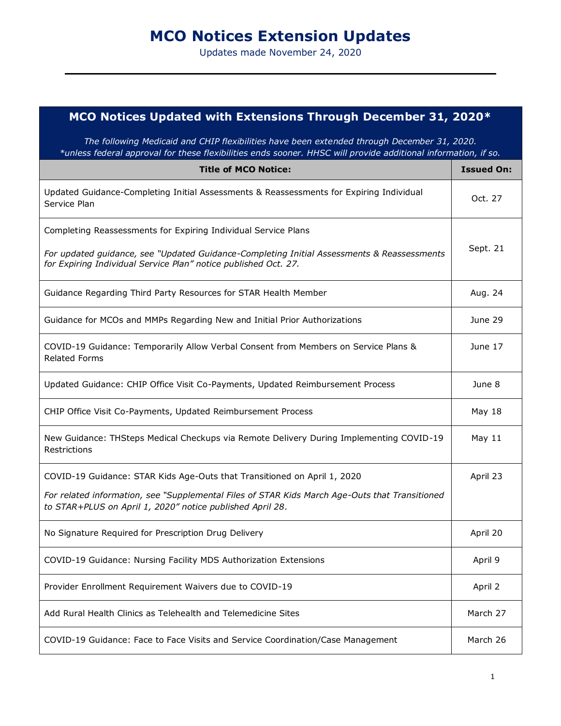# **MCO Notices Extension Updates**

Updates made November 24, 2020

# **MCO Notices Updated with Extensions Through December 31, 2020\***

*The following Medicaid and CHIP flexibilities have been extended through December 31, 2020. \*unless federal approval for these flexibilities ends sooner. HHSC will provide additional information, if so.*

| <b>Title of MCO Notice:</b>                                                                                                                                   | <b>Issued On:</b> |
|---------------------------------------------------------------------------------------------------------------------------------------------------------------|-------------------|
| Updated Guidance-Completing Initial Assessments & Reassessments for Expiring Individual<br>Service Plan                                                       | Oct. 27           |
| Completing Reassessments for Expiring Individual Service Plans                                                                                                |                   |
| For updated guidance, see "Updated Guidance-Completing Initial Assessments & Reassessments<br>for Expiring Individual Service Plan" notice published Oct. 27. | Sept. 21          |
| Guidance Regarding Third Party Resources for STAR Health Member                                                                                               | Aug. 24           |
| Guidance for MCOs and MMPs Regarding New and Initial Prior Authorizations                                                                                     | June 29           |
| COVID-19 Guidance: Temporarily Allow Verbal Consent from Members on Service Plans &<br><b>Related Forms</b>                                                   | June 17           |
| Updated Guidance: CHIP Office Visit Co-Payments, Updated Reimbursement Process                                                                                | June 8            |
| CHIP Office Visit Co-Payments, Updated Reimbursement Process                                                                                                  | May 18            |
| New Guidance: THSteps Medical Checkups via Remote Delivery During Implementing COVID-19<br>Restrictions                                                       | May 11            |
| COVID-19 Guidance: STAR Kids Age-Outs that Transitioned on April 1, 2020                                                                                      | April 23          |
| For related information, see "Supplemental Files of STAR Kids March Age-Outs that Transitioned<br>to STAR+PLUS on April 1, 2020" notice published April 28.   |                   |
| No Signature Required for Prescription Drug Delivery                                                                                                          | April 20          |
| COVID-19 Guidance: Nursing Facility MDS Authorization Extensions                                                                                              | April 9           |
| Provider Enrollment Requirement Waivers due to COVID-19                                                                                                       | April 2           |
| Add Rural Health Clinics as Telehealth and Telemedicine Sites                                                                                                 | March 27          |
| COVID-19 Guidance: Face to Face Visits and Service Coordination/Case Management                                                                               | March 26          |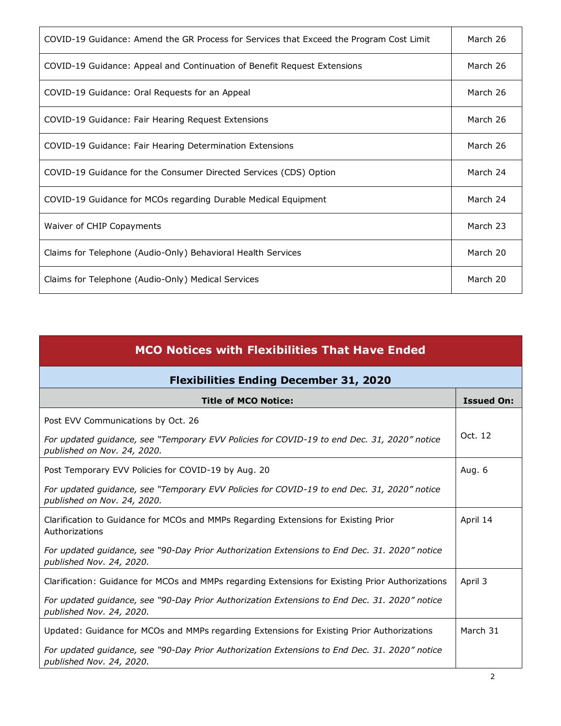| COVID-19 Guidance: Amend the GR Process for Services that Exceed the Program Cost Limit | March 26 |
|-----------------------------------------------------------------------------------------|----------|
| COVID-19 Guidance: Appeal and Continuation of Benefit Request Extensions                | March 26 |
| COVID-19 Guidance: Oral Requests for an Appeal                                          | March 26 |
| COVID-19 Guidance: Fair Hearing Request Extensions                                      | March 26 |
| COVID-19 Guidance: Fair Hearing Determination Extensions                                | March 26 |
| COVID-19 Guidance for the Consumer Directed Services (CDS) Option                       | March 24 |
| COVID-19 Guidance for MCOs regarding Durable Medical Equipment                          | March 24 |
| Waiver of CHIP Copayments                                                               | March 23 |
| Claims for Telephone (Audio-Only) Behavioral Health Services                            | March 20 |
| Claims for Telephone (Audio-Only) Medical Services                                      | March 20 |

| <b>MCO Notices with Flexibilities That Have Ended</b>                                                                      |                   |
|----------------------------------------------------------------------------------------------------------------------------|-------------------|
| <b>Flexibilities Ending December 31, 2020</b>                                                                              |                   |
| <b>Title of MCO Notice:</b>                                                                                                | <b>Issued On:</b> |
| Post EVV Communications by Oct. 26                                                                                         |                   |
| For updated guidance, see "Temporary EVV Policies for COVID-19 to end Dec. 31, 2020" notice<br>published on Nov. 24, 2020. | Oct. 12           |
| Post Temporary EVV Policies for COVID-19 by Aug. 20                                                                        | Aug. 6            |
| For updated guidance, see "Temporary EVV Policies for COVID-19 to end Dec. 31, 2020" notice<br>published on Nov. 24, 2020. |                   |
| Clarification to Guidance for MCOs and MMPs Regarding Extensions for Existing Prior<br>Authorizations                      | April 14          |
| For updated guidance, see "90-Day Prior Authorization Extensions to End Dec. 31. 2020" notice<br>published Nov. 24, 2020.  |                   |
| Clarification: Guidance for MCOs and MMPs regarding Extensions for Existing Prior Authorizations                           | April 3           |
| For updated guidance, see "90-Day Prior Authorization Extensions to End Dec. 31. 2020" notice<br>published Nov. 24, 2020.  |                   |
| Updated: Guidance for MCOs and MMPs regarding Extensions for Existing Prior Authorizations                                 | March 31          |
| For updated guidance, see "90-Day Prior Authorization Extensions to End Dec. 31. 2020" notice<br>published Nov. 24, 2020.  |                   |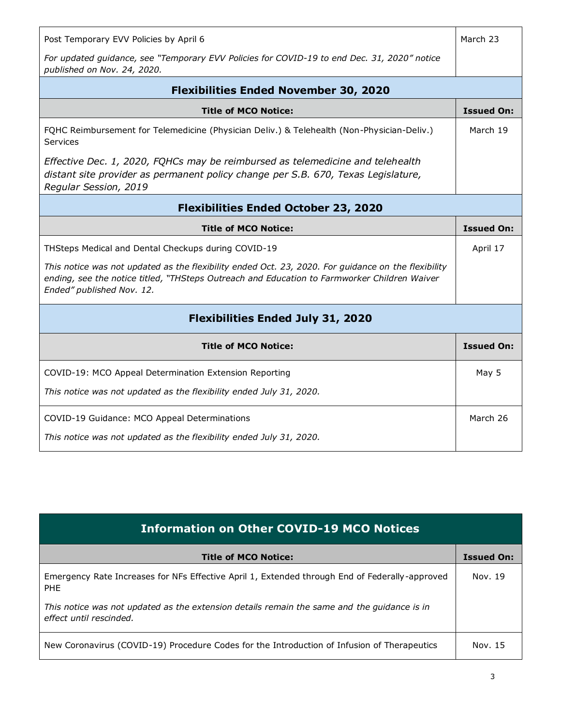| Post Temporary EVV Policies by April 6                                                                                                                                                                                           | March 23          |
|----------------------------------------------------------------------------------------------------------------------------------------------------------------------------------------------------------------------------------|-------------------|
| For updated guidance, see "Temporary EVV Policies for COVID-19 to end Dec. 31, 2020" notice<br>published on Nov. 24, 2020.                                                                                                       |                   |
| <b>Flexibilities Ended November 30, 2020</b>                                                                                                                                                                                     |                   |
| <b>Title of MCO Notice:</b>                                                                                                                                                                                                      | <b>Issued On:</b> |
| FQHC Reimbursement for Telemedicine (Physician Deliv.) & Telehealth (Non-Physician-Deliv.)<br>Services                                                                                                                           | March 19          |
| Effective Dec. 1, 2020, FQHCs may be reimbursed as telemedicine and telehealth<br>distant site provider as permanent policy change per S.B. 670, Texas Legislature,<br>Regular Session, 2019                                     |                   |
| <b>Flexibilities Ended October 23, 2020</b>                                                                                                                                                                                      |                   |
| <b>Title of MCO Notice:</b>                                                                                                                                                                                                      | <b>Issued On:</b> |
| THSteps Medical and Dental Checkups during COVID-19                                                                                                                                                                              | April 17          |
| This notice was not updated as the flexibility ended Oct. 23, 2020. For guidance on the flexibility<br>ending, see the notice titled, "THSteps Outreach and Education to Farmworker Children Waiver<br>Ended" published Nov. 12. |                   |
| <b>Flexibilities Ended July 31, 2020</b>                                                                                                                                                                                         |                   |
| <b>Title of MCO Notice:</b>                                                                                                                                                                                                      | <b>Issued On:</b> |
| COVID-19: MCO Appeal Determination Extension Reporting                                                                                                                                                                           | May 5             |
| This notice was not updated as the flexibility ended July 31, 2020.                                                                                                                                                              |                   |
| COVID-19 Guidance: MCO Appeal Determinations                                                                                                                                                                                     | March 26          |

| <b>Information on Other COVID-19 MCO Notices</b>                                                                       |                   |
|------------------------------------------------------------------------------------------------------------------------|-------------------|
| <b>Title of MCO Notice:</b>                                                                                            | <b>Issued On:</b> |
| Emergency Rate Increases for NFs Effective April 1, Extended through End of Federally-approved<br><b>PHF</b>           | Nov. 19           |
| This notice was not updated as the extension details remain the same and the quidance is in<br>effect until rescinded. |                   |
| New Coronavirus (COVID-19) Procedure Codes for the Introduction of Infusion of Therapeutics                            | Nov. 15           |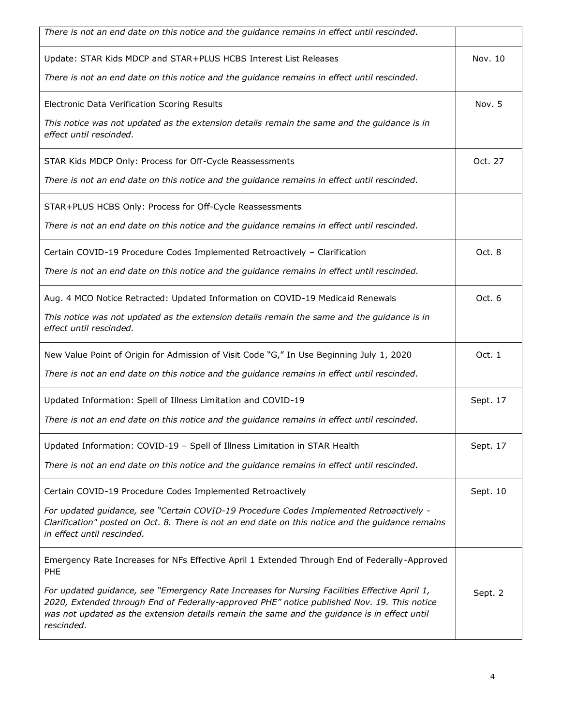| There is not an end date on this notice and the guidance remains in effect until rescinded.                                                                                                                                                                                                                |          |
|------------------------------------------------------------------------------------------------------------------------------------------------------------------------------------------------------------------------------------------------------------------------------------------------------------|----------|
| Update: STAR Kids MDCP and STAR+PLUS HCBS Interest List Releases                                                                                                                                                                                                                                           | Nov. 10  |
| There is not an end date on this notice and the guidance remains in effect until rescinded.                                                                                                                                                                                                                |          |
| Electronic Data Verification Scoring Results                                                                                                                                                                                                                                                               | Nov. 5   |
| This notice was not updated as the extension details remain the same and the guidance is in<br>effect until rescinded.                                                                                                                                                                                     |          |
| STAR Kids MDCP Only: Process for Off-Cycle Reassessments                                                                                                                                                                                                                                                   | Oct. 27  |
| There is not an end date on this notice and the guidance remains in effect until rescinded.                                                                                                                                                                                                                |          |
| STAR+PLUS HCBS Only: Process for Off-Cycle Reassessments                                                                                                                                                                                                                                                   |          |
| There is not an end date on this notice and the guidance remains in effect until rescinded.                                                                                                                                                                                                                |          |
| Certain COVID-19 Procedure Codes Implemented Retroactively - Clarification                                                                                                                                                                                                                                 | Oct. 8   |
| There is not an end date on this notice and the guidance remains in effect until rescinded.                                                                                                                                                                                                                |          |
| Aug. 4 MCO Notice Retracted: Updated Information on COVID-19 Medicaid Renewals                                                                                                                                                                                                                             | Oct. 6   |
| This notice was not updated as the extension details remain the same and the guidance is in<br>effect until rescinded.                                                                                                                                                                                     |          |
| New Value Point of Origin for Admission of Visit Code "G," In Use Beginning July 1, 2020                                                                                                                                                                                                                   | Oct. 1   |
| There is not an end date on this notice and the guidance remains in effect until rescinded.                                                                                                                                                                                                                |          |
| Updated Information: Spell of Illness Limitation and COVID-19                                                                                                                                                                                                                                              | Sept. 17 |
| There is not an end date on this notice and the guidance remains in effect until rescinded.                                                                                                                                                                                                                |          |
| Updated Information: COVID-19 - Spell of Illness Limitation in STAR Health                                                                                                                                                                                                                                 | Sept. 17 |
| There is not an end date on this notice and the guidance remains in effect until rescinded.                                                                                                                                                                                                                |          |
| Certain COVID-19 Procedure Codes Implemented Retroactively                                                                                                                                                                                                                                                 | Sept. 10 |
| For updated guidance, see "Certain COVID-19 Procedure Codes Implemented Retroactively -<br>Clarification" posted on Oct. 8. There is not an end date on this notice and the guidance remains<br>in effect until rescinded.                                                                                 |          |
| Emergency Rate Increases for NFs Effective April 1 Extended Through End of Federally-Approved<br><b>PHE</b>                                                                                                                                                                                                |          |
| For updated guidance, see "Emergency Rate Increases for Nursing Facilities Effective April 1,<br>2020, Extended through End of Federally-approved PHE" notice published Nov. 19. This notice<br>was not updated as the extension details remain the same and the guidance is in effect until<br>rescinded. | Sept. 2  |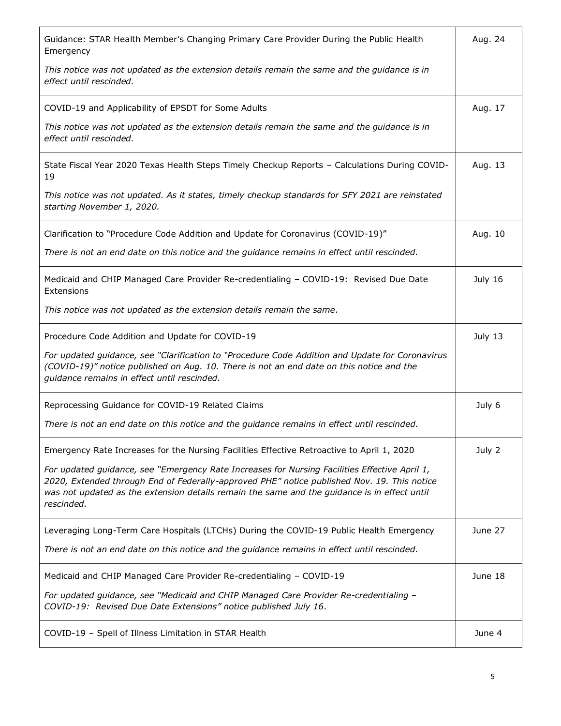| Guidance: STAR Health Member's Changing Primary Care Provider During the Public Health<br>Emergency                                                                                                                                                                                                        | Aug. 24 |
|------------------------------------------------------------------------------------------------------------------------------------------------------------------------------------------------------------------------------------------------------------------------------------------------------------|---------|
| This notice was not updated as the extension details remain the same and the guidance is in<br>effect until rescinded.                                                                                                                                                                                     |         |
| COVID-19 and Applicability of EPSDT for Some Adults                                                                                                                                                                                                                                                        | Aug. 17 |
| This notice was not updated as the extension details remain the same and the guidance is in<br>effect until rescinded.                                                                                                                                                                                     |         |
| State Fiscal Year 2020 Texas Health Steps Timely Checkup Reports - Calculations During COVID-<br>19                                                                                                                                                                                                        | Aug. 13 |
| This notice was not updated. As it states, timely checkup standards for SFY 2021 are reinstated<br>starting November 1, 2020.                                                                                                                                                                              |         |
| Clarification to "Procedure Code Addition and Update for Coronavirus (COVID-19)"                                                                                                                                                                                                                           | Aug. 10 |
| There is not an end date on this notice and the guidance remains in effect until rescinded.                                                                                                                                                                                                                |         |
| Medicaid and CHIP Managed Care Provider Re-credentialing - COVID-19: Revised Due Date<br>Extensions                                                                                                                                                                                                        | July 16 |
| This notice was not updated as the extension details remain the same.                                                                                                                                                                                                                                      |         |
| Procedure Code Addition and Update for COVID-19                                                                                                                                                                                                                                                            | July 13 |
| For updated guidance, see "Clarification to "Procedure Code Addition and Update for Coronavirus<br>(COVID-19)" notice published on Aug. 10. There is not an end date on this notice and the<br>guidance remains in effect until rescinded.                                                                 |         |
| Reprocessing Guidance for COVID-19 Related Claims                                                                                                                                                                                                                                                          | July 6  |
| There is not an end date on this notice and the guidance remains in effect until rescinded.                                                                                                                                                                                                                |         |
| Emergency Rate Increases for the Nursing Facilities Effective Retroactive to April 1, 2020                                                                                                                                                                                                                 | July 2  |
| For updated guidance, see "Emergency Rate Increases for Nursing Facilities Effective April 1,<br>2020, Extended through End of Federally-approved PHE" notice published Nov. 19. This notice<br>was not updated as the extension details remain the same and the guidance is in effect until<br>rescinded. |         |
| Leveraging Long-Term Care Hospitals (LTCHs) During the COVID-19 Public Health Emergency                                                                                                                                                                                                                    | June 27 |
| There is not an end date on this notice and the guidance remains in effect until rescinded.                                                                                                                                                                                                                |         |
| Medicaid and CHIP Managed Care Provider Re-credentialing - COVID-19                                                                                                                                                                                                                                        | June 18 |
| For updated guidance, see "Medicaid and CHIP Managed Care Provider Re-credentialing -<br>COVID-19: Revised Due Date Extensions" notice published July 16.                                                                                                                                                  |         |
| COVID-19 - Spell of Illness Limitation in STAR Health                                                                                                                                                                                                                                                      | June 4  |